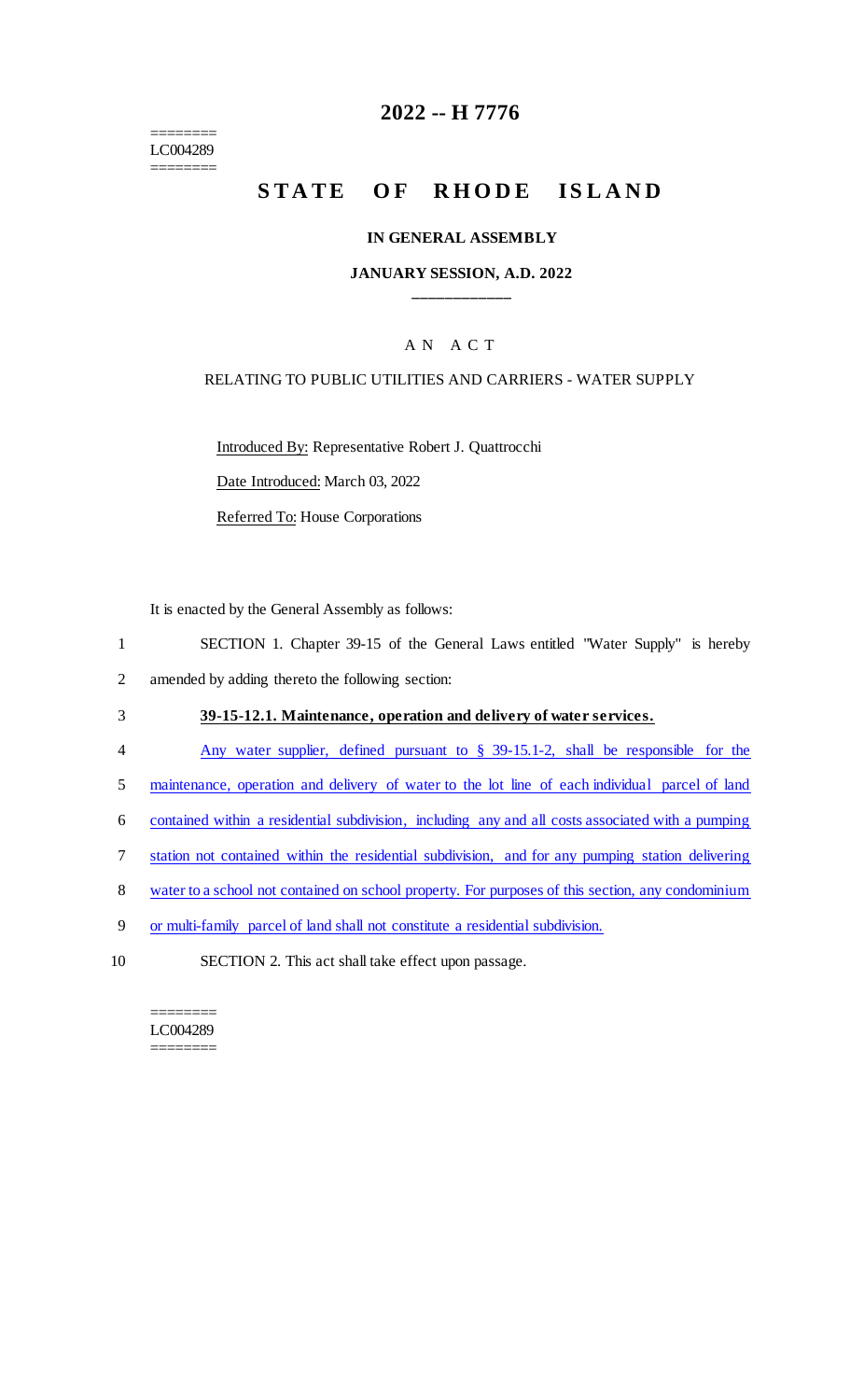======== LC004289 ========

# **2022 -- H 7776**

# **STATE OF RHODE ISLAND**

#### **IN GENERAL ASSEMBLY**

#### **JANUARY SESSION, A.D. 2022 \_\_\_\_\_\_\_\_\_\_\_\_**

### A N A C T

#### RELATING TO PUBLIC UTILITIES AND CARRIERS - WATER SUPPLY

Introduced By: Representative Robert J. Quattrocchi

Date Introduced: March 03, 2022

Referred To: House Corporations

It is enacted by the General Assembly as follows:

- 1 SECTION 1. Chapter 39-15 of the General Laws entitled "Water Supply" is hereby
- 2 amended by adding thereto the following section:
- 3 **39-15-12.1. Maintenance, operation and delivery of water services.**
- 4 Any water supplier, defined pursuant to § 39-15.1-2, shall be responsible for the
- 5 maintenance, operation and delivery of water to the lot line of each individual parcel of land
- 6 contained within a residential subdivision, including any and all costs associated with a pumping
- 7 station not contained within the residential subdivision, and for any pumping station delivering
- 8 water to a school not contained on school property. For purposes of this section, any condominium
- 9 or multi-family parcel of land shall not constitute a residential subdivision.
- 10 SECTION 2. This act shall take effect upon passage.

======== LC004289 ========